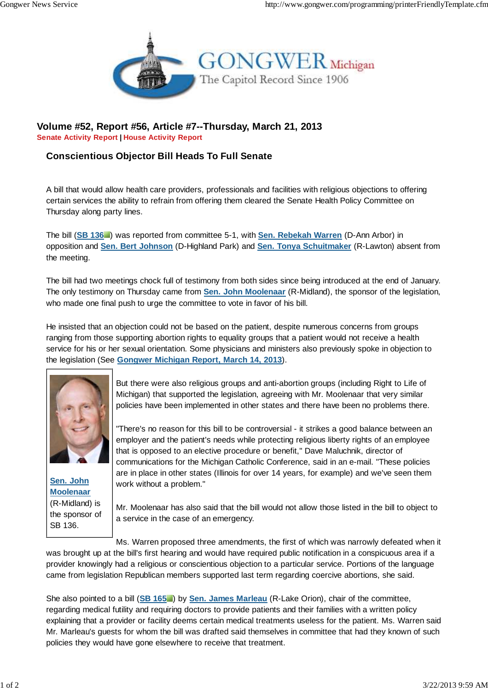

## **Volume #52, Report #56, Article #7--Thursday, March 21, 2013 Senate Activity Report | House Activity Report**

## **Conscientious Objector Bill Heads To Full Senate**

A bill that would allow health care providers, professionals and facilities with religious objections to offering certain services the ability to refrain from offering them cleared the Senate Health Policy Committee on Thursday along party lines.

The bill (**SB 136** ) was reported from committee 5-1, with **Sen. Rebekah Warren** (D-Ann Arbor) in opposition and **Sen. Bert Johnson** (D-Highland Park) and **Sen. Tonya Schuitmaker** (R-Lawton) absent from the meeting.

The bill had two meetings chock full of testimony from both sides since being introduced at the end of January. The only testimony on Thursday came from **Sen. John Moolenaar** (R-Midland), the sponsor of the legislation, who made one final push to urge the committee to vote in favor of his bill.

He insisted that an objection could not be based on the patient, despite numerous concerns from groups ranging from those supporting abortion rights to equality groups that a patient would not receive a health service for his or her sexual orientation. Some physicians and ministers also previously spoke in objection to the legislation (See **Gongwer Michigan Report, March 14, 2013**).



**Sen. John Moolenaar** (R-Midland) is the sponsor of SB 136.

But there were also religious groups and anti-abortion groups (including Right to Life of Michigan) that supported the legislation, agreeing with Mr. Moolenaar that very similar policies have been implemented in other states and there have been no problems there.

"There's no reason for this bill to be controversial - it strikes a good balance between an employer and the patient's needs while protecting religious liberty rights of an employee that is opposed to an elective procedure or benefit," Dave Maluchnik, director of communications for the Michigan Catholic Conference, said in an e-mail. "These policies are in place in other states (Illinois for over 14 years, for example) and we've seen them work without a problem."

Mr. Moolenaar has also said that the bill would not allow those listed in the bill to object to a service in the case of an emergency.

Ms. Warren proposed three amendments, the first of which was narrowly defeated when it was brought up at the bill's first hearing and would have required public notification in a conspicuous area if a provider knowingly had a religious or conscientious objection to a particular service. Portions of the language came from legislation Republican members supported last term regarding coercive abortions, she said.

She also pointed to a bill (**SB 165** ) by **Sen. James Marleau** (R-Lake Orion), chair of the committee, regarding medical futility and requiring doctors to provide patients and their families with a written policy explaining that a provider or facility deems certain medical treatments useless for the patient. Ms. Warren said Mr. Marleau's guests for whom the bill was drafted said themselves in committee that had they known of such policies they would have gone elsewhere to receive that treatment.